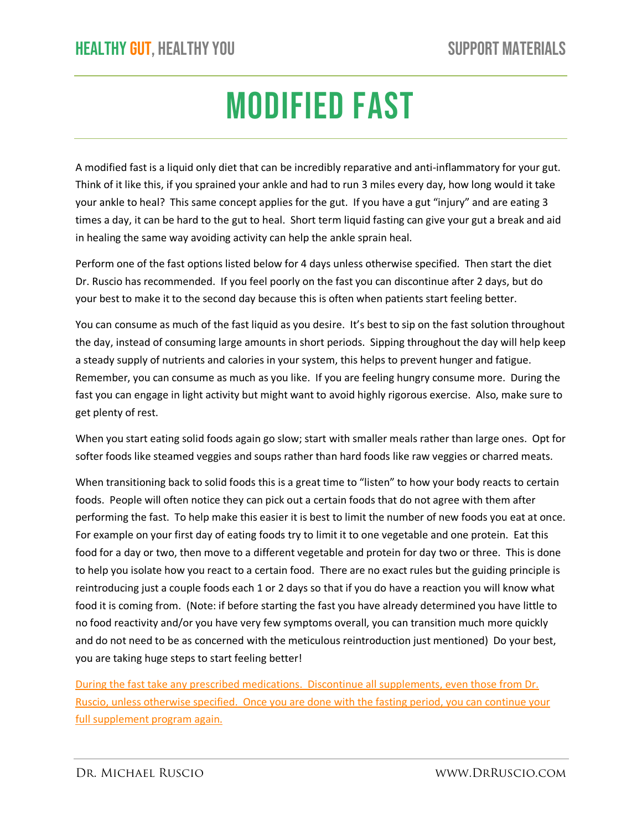# MODIFIED FAST

A modified fast is a liquid only diet that can be incredibly reparative and anti-inflammatory for your gut. Think of it like this, if you sprained your ankle and had to run 3 miles every day, how long would it take your ankle to heal? This same concept applies for the gut. If you have a gut "injury" and are eating 3 times a day, it can be hard to the gut to heal. Short term liquid fasting can give your gut a break and aid in healing the same way avoiding activity can help the ankle sprain heal.

Perform one of the fast options listed below for 4 days unless otherwise specified. Then start the diet Dr. Ruscio has recommended. If you feel poorly on the fast you can discontinue after 2 days, but do your best to make it to the second day because this is often when patients start feeling better.

You can consume as much of the fast liquid as you desire. It's best to sip on the fast solution throughout the day, instead of consuming large amounts in short periods. Sipping throughout the day will help keep a steady supply of nutrients and calories in your system, this helps to prevent hunger and fatigue. Remember, you can consume as much as you like. If you are feeling hungry consume more. During the fast you can engage in light activity but might want to avoid highly rigorous exercise. Also, make sure to get plenty of rest.

When you start eating solid foods again go slow; start with smaller meals rather than large ones. Opt for softer foods like steamed veggies and soups rather than hard foods like raw veggies or charred meats.

When transitioning back to solid foods this is a great time to "listen" to how your body reacts to certain foods. People will often notice they can pick out a certain foods that do not agree with them after performing the fast. To help make this easier it is best to limit the number of new foods you eat at once. For example on your first day of eating foods try to limit it to one vegetable and one protein. Eat this food for a day or two, then move to a different vegetable and protein for day two or three. This is done to help you isolate how you react to a certain food. There are no exact rules but the guiding principle is reintroducing just a couple foods each 1 or 2 days so that if you do have a reaction you will know what food it is coming from. (Note: if before starting the fast you have already determined you have little to no food reactivity and/or you have very few symptoms overall, you can transition much more quickly and do not need to be as concerned with the meticulous reintroduction just mentioned) Do your best, you are taking huge steps to start feeling better!

During the fast take any prescribed medications. Discontinue all supplements, even those from Dr. Ruscio, unless otherwise specified. Once you are done with the fasting period, you can continue your full supplement program again.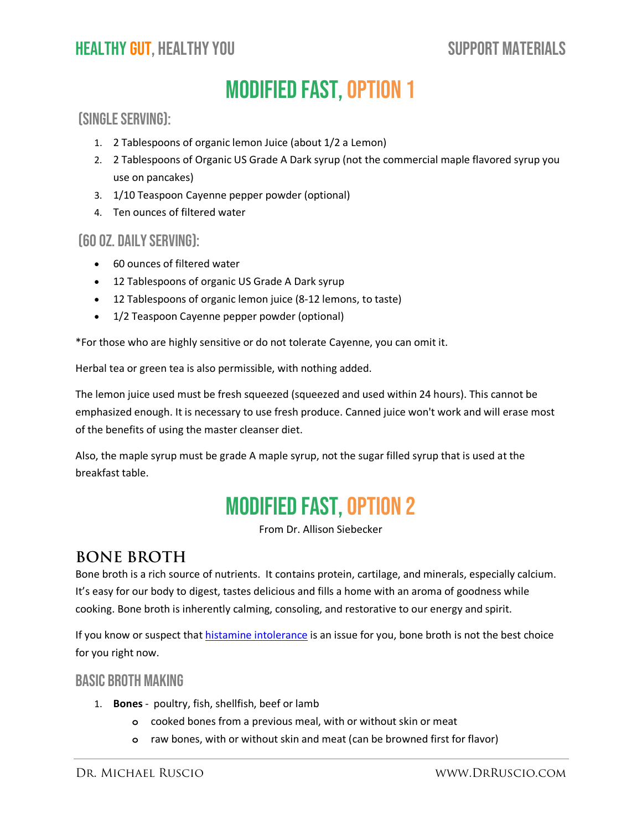# Modified Fast, option 1

### (Single serving):

- 1. 2 Tablespoons of organic lemon Juice (about 1/2 a Lemon)
- 2. 2 Tablespoons of Organic US Grade A Dark syrup (not the commercial maple flavored syrup you use on pancakes)
- 3. 1/10 Teaspoon Cayenne pepper powder (optional)
- 4. Ten ounces of filtered water

#### (60 oz. daily serving):

- 60 ounces of filtered water
- 12 Tablespoons of organic US Grade A Dark syrup
- 12 Tablespoons of organic lemon juice (8-12 lemons, to taste)
- 1/2 Teaspoon Cayenne pepper powder (optional)

\*For those who are highly sensitive or do not tolerate Cayenne, you can omit it.

Herbal tea or green tea is also permissible, with nothing added.

The lemon juice used must be fresh squeezed (squeezed and used within 24 hours). This cannot be emphasized enough. It is necessary to use fresh produce. Canned juice won't work and will erase most of the benefits of using the master cleanser diet.

Also, the maple syrup must be grade A maple syrup, not the sugar filled syrup that is used at the breakfast table.

## Modified Fast, option 2

From Dr. Allison Siebecker

### **BONE BROTH**

Bone broth is a rich source of nutrients. It contains protein, cartilage, and minerals, especially calcium. It's easy for our body to digest, tastes delicious and fills a home with an aroma of goodness while cooking. Bone broth is inherently calming, consoling, and restorative to our energy and spirit.

If you know or suspect that [histamine intolerance](https://drruscio.com/everything-you-need-to-know-about-histamine-intolerance/) is an issue for you, bone broth is not the best choice for you right now.

### BASIC BROTH MAKING

- 1. **Bones** poultry, fish, shellfish, beef or lamb
	- **o** cooked bones from a previous meal, with or without skin or meat
	- **o** raw bones, with or without skin and meat (can be browned first for flavor)